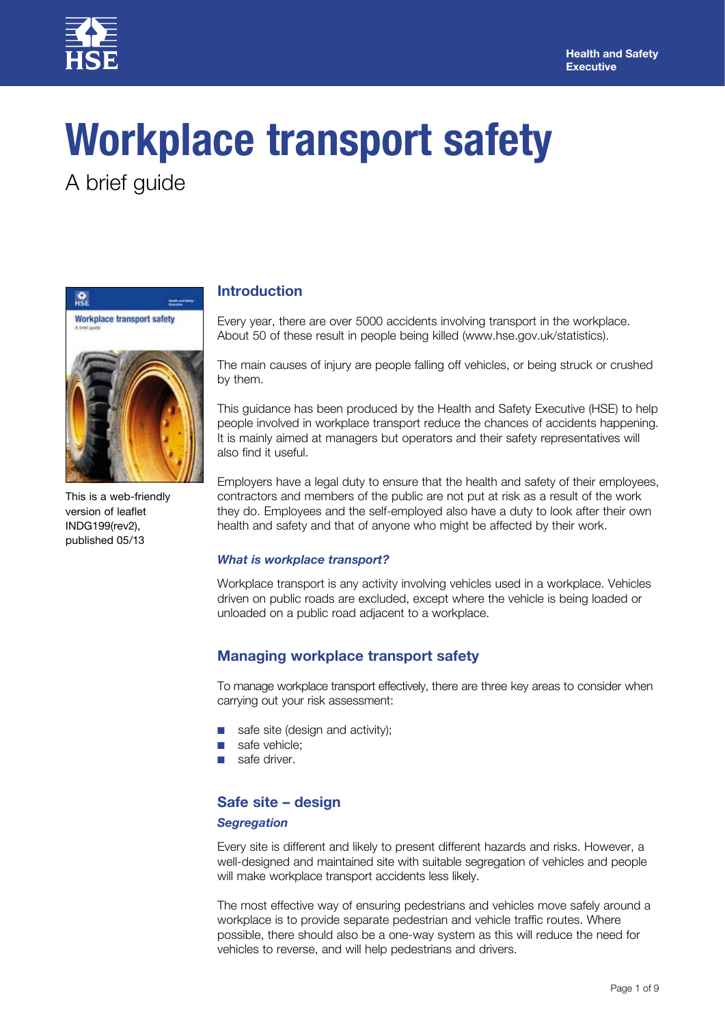

# **Workplace transport safety**

A brief guide



This is a web-friendly version of leaflet INDG199(rev2), published 05/13

# **Introduction**

Every year, there are over 5000 accidents involving transport in the workplace. About 50 of these result in people being killed (www.hse.gov.uk/statistics).

The main causes of injury are people falling off vehicles, or being struck or crushed by them.

This guidance has been produced by the Health and Safety Executive (HSE) to help people involved in workplace transport reduce the chances of accidents happening. It is mainly aimed at managers but operators and their safety representatives will also find it useful.

Employers have a legal duty to ensure that the health and safety of their employees, contractors and members of the public are not put at risk as a result of the work they do. Employees and the self-employed also have a duty to look after their own health and safety and that of anyone who might be affected by their work.

## *What is workplace transport?*

Workplace transport is any activity involving vehicles used in a workplace. Vehicles driven on public roads are excluded, except where the vehicle is being loaded or unloaded on a public road adjacent to a workplace.

# **Managing workplace transport safety**

To manage workplace transport effectively, there are three key areas to consider when carrying out your risk assessment:

- safe site (design and activity);
- safe vehicle:
- safe driver.

# **Safe site – design**

## *Segregation*

Every site is different and likely to present different hazards and risks. However, a well-designed and maintained site with suitable segregation of vehicles and people will make workplace transport accidents less likely.

The most effective way of ensuring pedestrians and vehicles move safely around a workplace is to provide separate pedestrian and vehicle traffic routes. Where possible, there should also be a one-way system as this will reduce the need for vehicles to reverse, and will help pedestrians and drivers.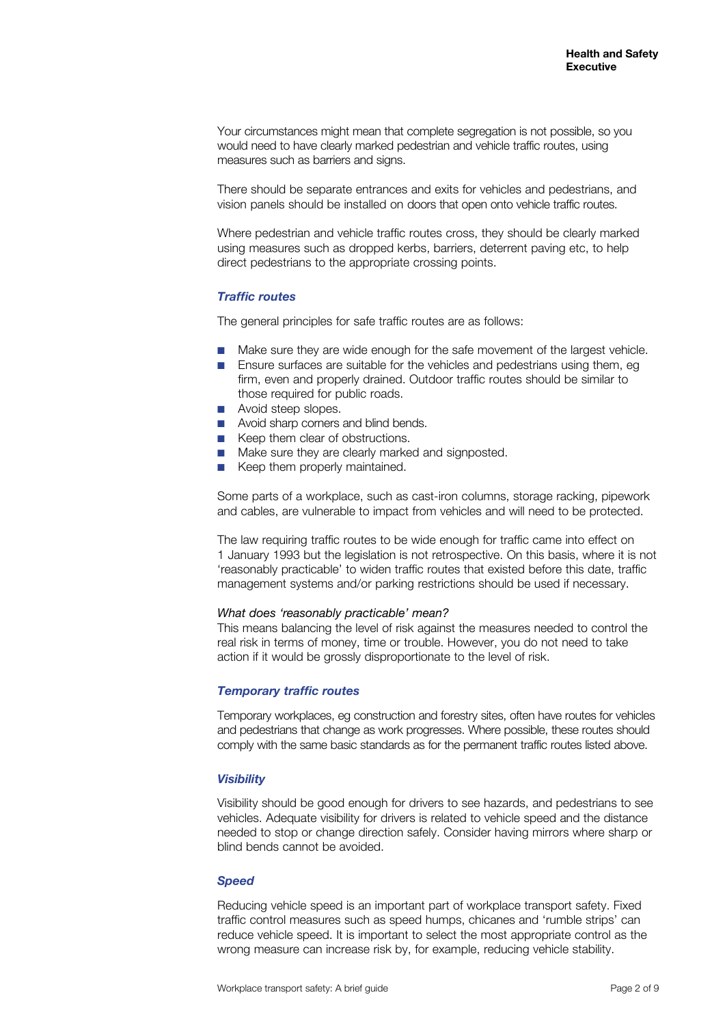Your circumstances might mean that complete segregation is not possible, so you would need to have clearly marked pedestrian and vehicle traffic routes, using measures such as barriers and signs.

There should be separate entrances and exits for vehicles and pedestrians, and vision panels should be installed on doors that open onto vehicle traffic routes.

Where pedestrian and vehicle traffic routes cross, they should be clearly marked using measures such as dropped kerbs, barriers, deterrent paving etc, to help direct pedestrians to the appropriate crossing points.

## *Traffic routes*

The general principles for safe traffic routes are as follows:

- Make sure they are wide enough for the safe movement of the largest vehicle.
- Ensure surfaces are suitable for the vehicles and pedestrians using them, eg firm, even and properly drained. Outdoor traffic routes should be similar to those required for public roads.
- Avoid steep slopes.
- Avoid sharp corners and blind bends.
- Keep them clear of obstructions.
- Make sure they are clearly marked and signposted.
- Keep them properly maintained.

Some parts of a workplace, such as cast-iron columns, storage racking, pipework and cables, are vulnerable to impact from vehicles and will need to be protected.

The law requiring traffic routes to be wide enough for traffic came into effect on 1 January 1993 but the legislation is not retrospective. On this basis, where it is not 'reasonably practicable' to widen traffic routes that existed before this date, traffic management systems and/or parking restrictions should be used if necessary.

#### *What does 'reasonably practicable' mean?*

This means balancing the level of risk against the measures needed to control the real risk in terms of money, time or trouble. However, you do not need to take action if it would be grossly disproportionate to the level of risk.

#### *Temporary traffic routes*

Temporary workplaces, eg construction and forestry sites, often have routes for vehicles and pedestrians that change as work progresses. Where possible, these routes should comply with the same basic standards as for the permanent traffic routes listed above.

#### *Visibility*

Visibility should be good enough for drivers to see hazards, and pedestrians to see vehicles. Adequate visibility for drivers is related to vehicle speed and the distance needed to stop or change direction safely. Consider having mirrors where sharp or blind bends cannot be avoided.

#### *Speed*

Reducing vehicle speed is an important part of workplace transport safety. Fixed traffic control measures such as speed humps, chicanes and 'rumble strips' can reduce vehicle speed. It is important to select the most appropriate control as the wrong measure can increase risk by, for example, reducing vehicle stability.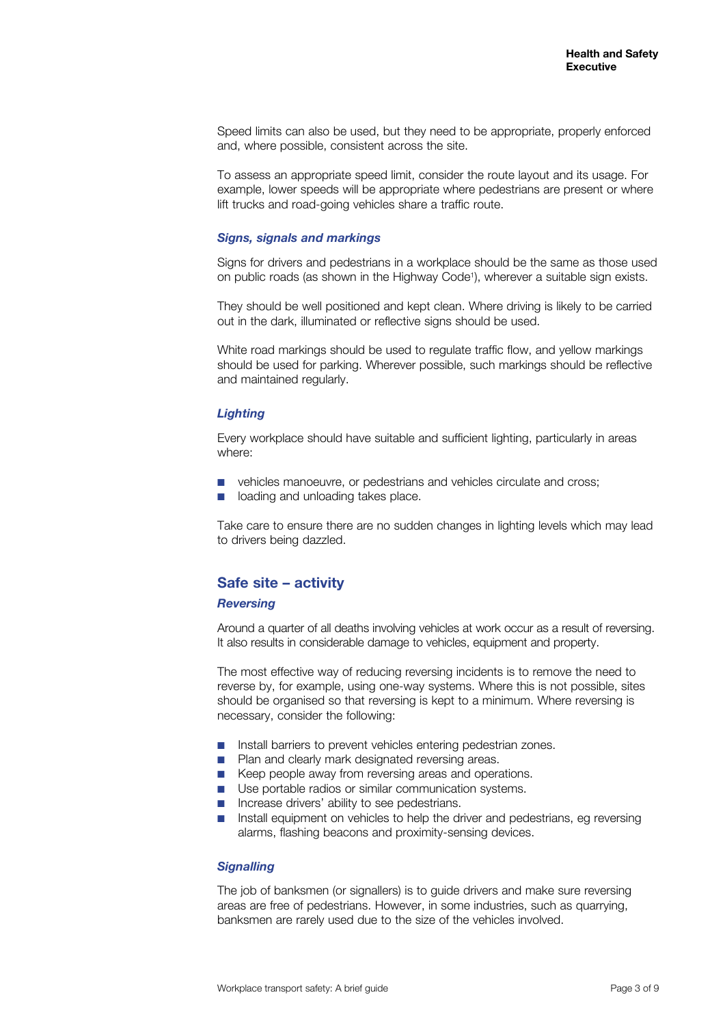Speed limits can also be used, but they need to be appropriate, properly enforced and, where possible, consistent across the site.

To assess an appropriate speed limit, consider the route layout and its usage. For example, lower speeds will be appropriate where pedestrians are present or where lift trucks and road-going vehicles share a traffic route.

#### *Signs, signals and markings*

Signs for drivers and pedestrians in a workplace should be the same as those used on public roads (as shown in the Highway Code<sup>1</sup>), wherever a suitable sign exists.

They should be well positioned and kept clean. Where driving is likely to be carried out in the dark, illuminated or reflective signs should be used.

White road markings should be used to regulate traffic flow, and yellow markings should be used for parking. Wherever possible, such markings should be reflective and maintained regularly.

#### *Lighting*

Every workplace should have suitable and sufficient lighting, particularly in areas where:

- vehicles manoeuvre, or pedestrians and vehicles circulate and cross;
- loading and unloading takes place.

Take care to ensure there are no sudden changes in lighting levels which may lead to drivers being dazzled.

## **Safe site – activity**

#### *Reversing*

Around a quarter of all deaths involving vehicles at work occur as a result of reversing. It also results in considerable damage to vehicles, equipment and property.

The most effective way of reducing reversing incidents is to remove the need to reverse by, for example, using one-way systems. Where this is not possible, sites should be organised so that reversing is kept to a minimum. Where reversing is necessary, consider the following:

- Install barriers to prevent vehicles entering pedestrian zones.
- Plan and clearly mark designated reversing areas.
- Keep people away from reversing areas and operations.
- Use portable radios or similar communication systems.
- Increase drivers' ability to see pedestrians.
- Install equipment on vehicles to help the driver and pedestrians, eg reversing alarms, flashing beacons and proximity-sensing devices.

#### *Signalling*

The job of banksmen (or signallers) is to guide drivers and make sure reversing areas are free of pedestrians. However, in some industries, such as quarrying, banksmen are rarely used due to the size of the vehicles involved.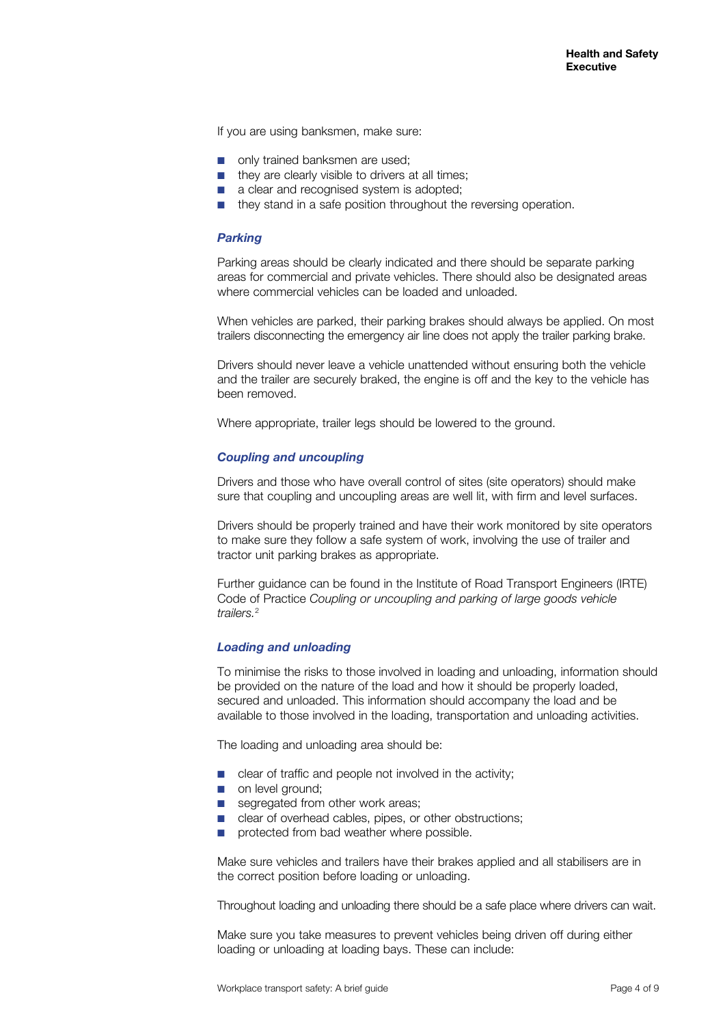If you are using banksmen, make sure:

- only trained banksmen are used:
- they are clearly visible to drivers at all times;
- a clear and recognised system is adopted;
- they stand in a safe position throughout the reversing operation.

#### *Parking*

Parking areas should be clearly indicated and there should be separate parking areas for commercial and private vehicles. There should also be designated areas where commercial vehicles can be loaded and unloaded.

When vehicles are parked, their parking brakes should always be applied. On most trailers disconnecting the emergency air line does not apply the trailer parking brake.

Drivers should never leave a vehicle unattended without ensuring both the vehicle and the trailer are securely braked, the engine is off and the key to the vehicle has been removed.

Where appropriate, trailer legs should be lowered to the ground.

#### *Coupling and uncoupling*

Drivers and those who have overall control of sites (site operators) should make sure that coupling and uncoupling areas are well lit, with firm and level surfaces.

Drivers should be properly trained and have their work monitored by site operators to make sure they follow a safe system of work, involving the use of trailer and tractor unit parking brakes as appropriate.

Further guidance can be found in the Institute of Road Transport Engineers (IRTE) Code of Practice *Coupling or uncoupling and parking of large goods vehicle trailers.*<sup>2</sup>

#### *Loading and unloading*

To minimise the risks to those involved in loading and unloading, information should be provided on the nature of the load and how it should be properly loaded, secured and unloaded. This information should accompany the load and be available to those involved in the loading, transportation and unloading activities.

The loading and unloading area should be:

- clear of traffic and people not involved in the activity;
- on level ground;
- segregated from other work areas;
- clear of overhead cables, pipes, or other obstructions;
- protected from bad weather where possible.

Make sure vehicles and trailers have their brakes applied and all stabilisers are in the correct position before loading or unloading.

Throughout loading and unloading there should be a safe place where drivers can wait.

Make sure you take measures to prevent vehicles being driven off during either loading or unloading at loading bays. These can include: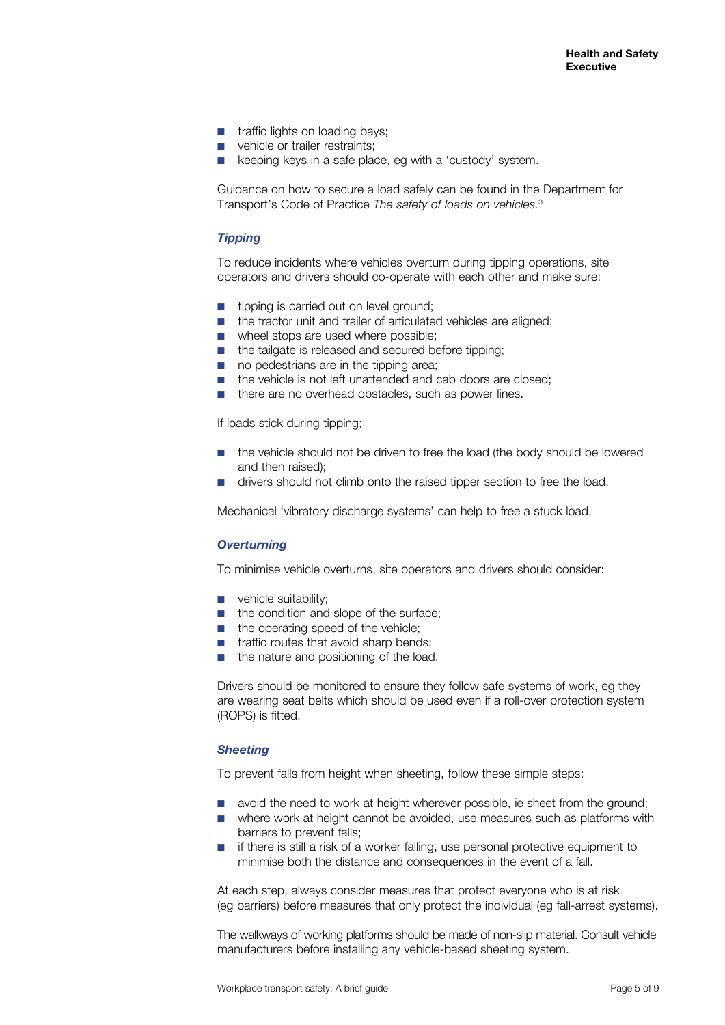- traffic lights on loading bays:
- vehicle or trailer restraints:
- keeping keys in a safe place, eg with a 'custody' system.

Guidance on how to secure a load safely can be found in the Department for Transport's Code of Practice *The safety of loads on vehicles.*<sup>3</sup>

#### *Tipping*

To reduce incidents where vehicles overturn during tipping operations, site operators and drivers should co-operate with each other and make sure:

- tipping is carried out on level ground:
- the tractor unit and trailer of articulated vehicles are aligned:
- wheel stops are used where possible:
- the tailgate is released and secured before tipping;
- no pedestrians are in the tipping area;
- the vehicle is not left unattended and cab doors are closed:
- there are no overhead obstacles, such as power lines.

If loads stick during tipping;

- the vehicle should not be driven to free the load (the body should be lowered and then raised);
- drivers should not climb onto the raised tipper section to free the load.

Mechanical 'vibratory discharge systems' can help to free a stuck load.

#### *Overturning*

To minimise vehicle overturns, site operators and drivers should consider:

- **D** vehicle suitability;
- the condition and slope of the surface;
- the operating speed of the vehicle;
- traffic routes that avoid sharp bends;
- the nature and positioning of the load.

Drivers should be monitored to ensure they follow safe systems of work, eg they are wearing seat belts which should be used even if a roll-over protection system (ROPS) is fitted.

#### *Sheeting*

To prevent falls from height when sheeting, follow these simple steps:

- avoid the need to work at height wherever possible, ie sheet from the ground;
- where work at height cannot be avoided, use measures such as platforms with barriers to prevent falls;
- if there is still a risk of a worker falling, use personal protective equipment to minimise both the distance and consequences in the event of a fall.

At each step, always consider measures that protect everyone who is at risk (eg barriers) before measures that only protect the individual (eg fall-arrest systems).

The walkways of working platforms should be made of non-slip material. Consult vehicle manufacturers before installing any vehicle-based sheeting system.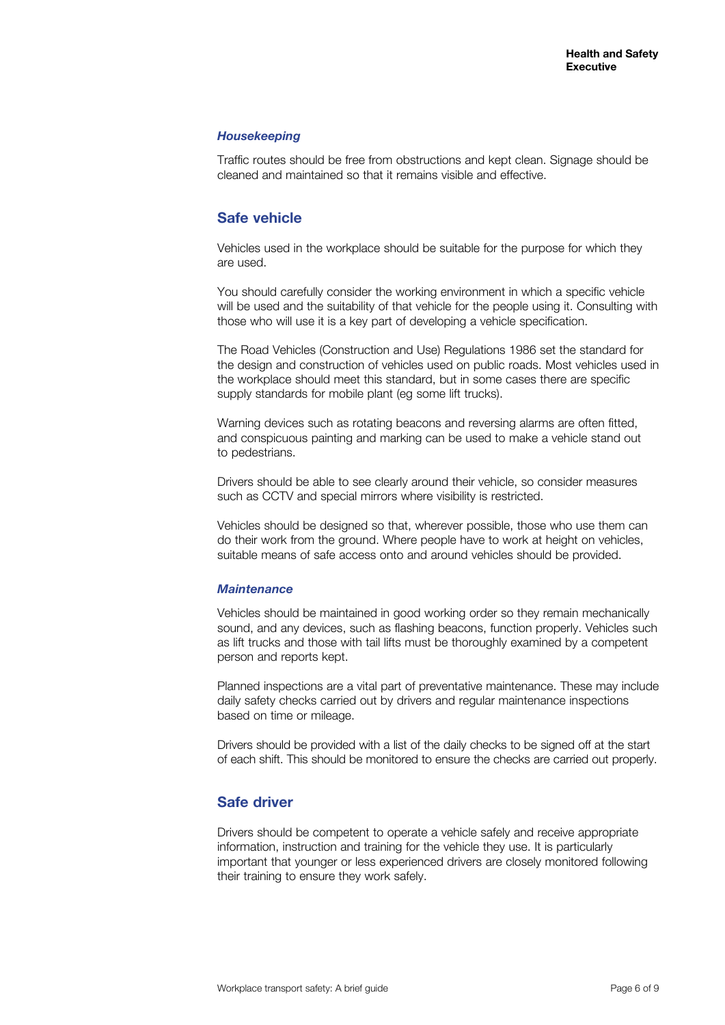#### *Housekeeping*

Traffic routes should be free from obstructions and kept clean. Signage should be cleaned and maintained so that it remains visible and effective.

## **Safe vehicle**

Vehicles used in the workplace should be suitable for the purpose for which they are used.

You should carefully consider the working environment in which a specific vehicle will be used and the suitability of that vehicle for the people using it. Consulting with those who will use it is a key part of developing a vehicle specification.

The Road Vehicles (Construction and Use) Regulations 1986 set the standard for the design and construction of vehicles used on public roads. Most vehicles used in the workplace should meet this standard, but in some cases there are specific supply standards for mobile plant (eg some lift trucks).

Warning devices such as rotating beacons and reversing alarms are often fitted, and conspicuous painting and marking can be used to make a vehicle stand out to pedestrians.

Drivers should be able to see clearly around their vehicle, so consider measures such as CCTV and special mirrors where visibility is restricted.

Vehicles should be designed so that, wherever possible, those who use them can do their work from the ground. Where people have to work at height on vehicles, suitable means of safe access onto and around vehicles should be provided.

#### *Maintenance*

Vehicles should be maintained in good working order so they remain mechanically sound, and any devices, such as flashing beacons, function properly. Vehicles such as lift trucks and those with tail lifts must be thoroughly examined by a competent person and reports kept.

Planned inspections are a vital part of preventative maintenance. These may include daily safety checks carried out by drivers and regular maintenance inspections based on time or mileage.

Drivers should be provided with a list of the daily checks to be signed off at the start of each shift. This should be monitored to ensure the checks are carried out properly.

## **Safe driver**

Drivers should be competent to operate a vehicle safely and receive appropriate information, instruction and training for the vehicle they use. It is particularly important that younger or less experienced drivers are closely monitored following their training to ensure they work safely.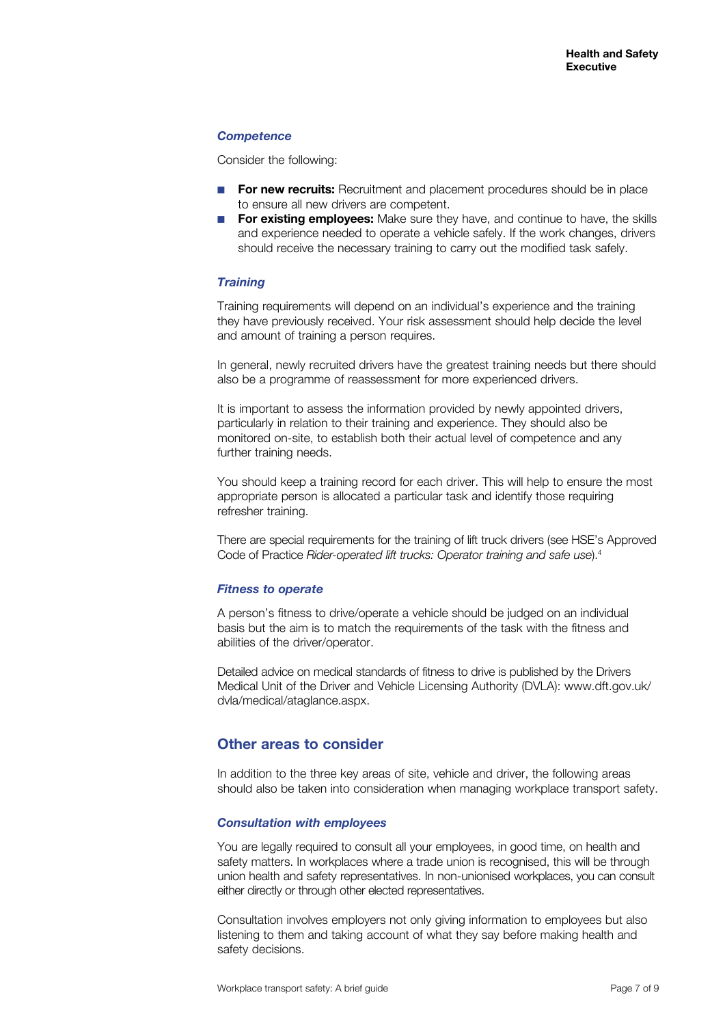## *Competence*

Consider the following:

- **For new recruits:** Recruitment and placement procedures should be in place to ensure all new drivers are competent.
- **For existing employees:** Make sure they have, and continue to have, the skills and experience needed to operate a vehicle safely. If the work changes, drivers should receive the necessary training to carry out the modified task safely.

#### *Training*

Training requirements will depend on an individual's experience and the training they have previously received. Your risk assessment should help decide the level and amount of training a person requires.

In general, newly recruited drivers have the greatest training needs but there should also be a programme of reassessment for more experienced drivers.

It is important to assess the information provided by newly appointed drivers, particularly in relation to their training and experience. They should also be monitored on-site, to establish both their actual level of competence and any further training needs.

You should keep a training record for each driver. This will help to ensure the most appropriate person is allocated a particular task and identify those requiring refresher training.

There are special requirements for the training of lift truck drivers (see HSE's Approved Code of Practice *Rider-operated lift trucks: Operator training and safe use*).4

#### *Fitness to operate*

A person's fitness to drive/operate a vehicle should be judged on an individual basis but the aim is to match the requirements of the task with the fitness and abilities of the driver/operator.

Detailed advice on medical standards of fitness to drive is published by the Drivers Medical Unit of the Driver and Vehicle Licensing Authority (DVLA): www.dft.gov.uk/ dvla/medical/ataglance.aspx.

## **Other areas to consider**

In addition to the three key areas of site, vehicle and driver, the following areas should also be taken into consideration when managing workplace transport safety.

#### *Consultation with employees*

You are legally required to consult all your employees, in good time, on health and safety matters. In workplaces where a trade union is recognised, this will be through union health and safety representatives. In non-unionised workplaces, you can consult either directly or through other elected representatives.

Consultation involves employers not only giving information to employees but also listening to them and taking account of what they say before making health and safety decisions.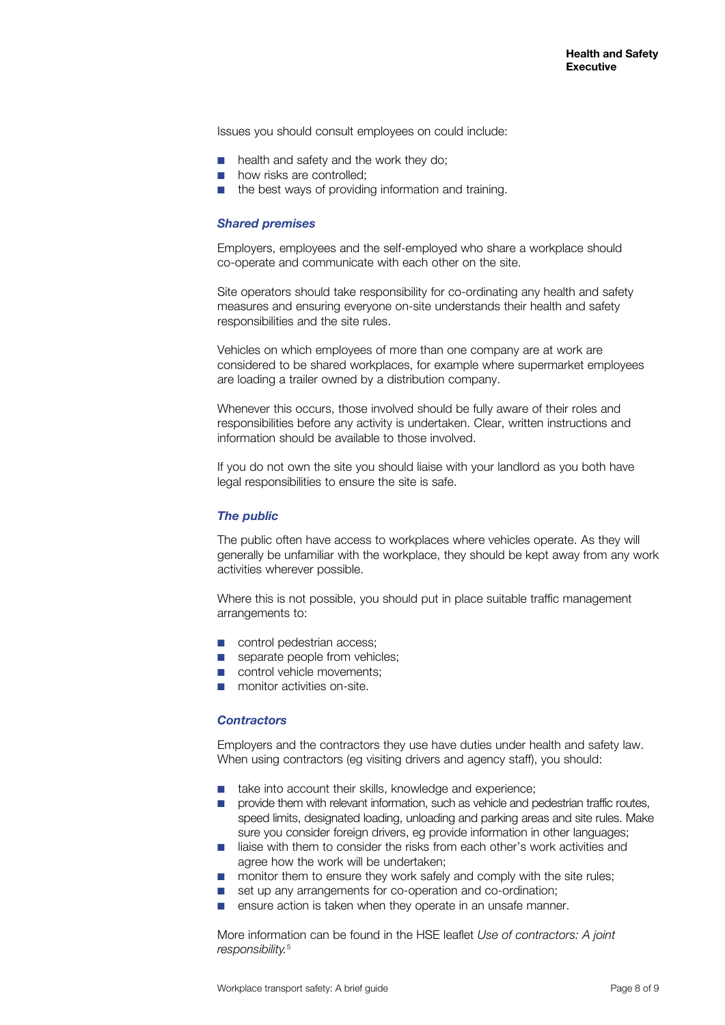Issues you should consult employees on could include:

- health and safety and the work they do:
- how risks are controlled:
- the best ways of providing information and training.

#### *Shared premises*

Employers, employees and the self-employed who share a workplace should co-operate and communicate with each other on the site.

Site operators should take responsibility for co-ordinating any health and safety measures and ensuring everyone on-site understands their health and safety responsibilities and the site rules.

Vehicles on which employees of more than one company are at work are considered to be shared workplaces, for example where supermarket employees are loading a trailer owned by a distribution company.

Whenever this occurs, those involved should be fully aware of their roles and responsibilities before any activity is undertaken. Clear, written instructions and information should be available to those involved.

If you do not own the site you should liaise with your landlord as you both have legal responsibilities to ensure the site is safe.

### *The public*

The public often have access to workplaces where vehicles operate. As they will generally be unfamiliar with the workplace, they should be kept away from any work activities wherever possible.

Where this is not possible, you should put in place suitable traffic management arrangements to:

- control pedestrian access;
- separate people from vehicles;
- control vehicle movements;
- monitor activities on-site.

#### *Contractors*

Employers and the contractors they use have duties under health and safety law. When using contractors (eg visiting drivers and agency staff), you should:

- take into account their skills, knowledge and experience;
- provide them with relevant information, such as vehicle and pedestrian traffic routes, speed limits, designated loading, unloading and parking areas and site rules. Make sure you consider foreign drivers, eg provide information in other languages;
- liaise with them to consider the risks from each other's work activities and agree how the work will be undertaken;
- monitor them to ensure they work safely and comply with the site rules;
- set up any arrangements for co-operation and co-ordination;
- ensure action is taken when they operate in an unsafe manner.

More information can be found in the HSE leaflet *Use of contractors: A joint responsibility.*5